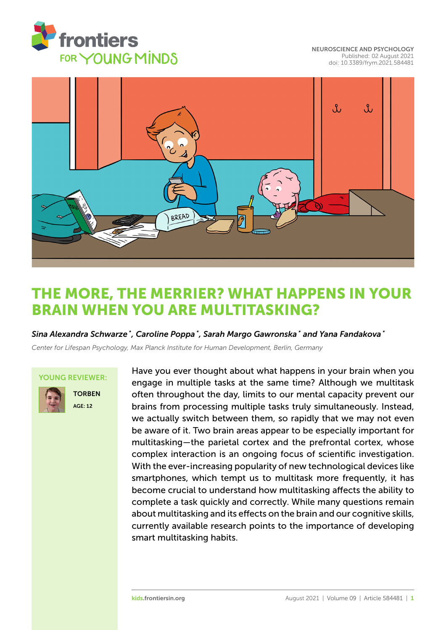

[NEUROSCIENCE AND PSYCHOLOGY](https://kids.frontiersin.org/article/10.3389/frym.2021.584481) [Published: 02 August 2021](https://kids.frontiersin.org/article/10.3389/frym.2021.584481) [doi: 10.3389/frym.2021.584481](https://doi.org/10.3389/frym.2021.584481)



# [THE MORE, THE MERRIER? WHAT HAPPENS IN YOUR](https://kids.frontiersin.org/article/10.3389/frym.2021.584481) BRAIN WHEN YOU ARE MULTITASKING?

*Sina Alexandra Schwarze \* , Caroline Poppa \* , Sarah Margo Gawronska \* and Yana Fandakova \**

*Center for Lifespan Psychology, Max Planck Institute for Human Development, Berlin, Germany*

#### YOUNG REVIEWER:



TORBEN AGE: 12

Have you ever thought about what happens in your brain when you engage in multiple tasks at the same time? Although we multitask often throughout the day, limits to our mental capacity prevent our brains from processing multiple tasks truly simultaneously. Instead, we actually switch between them, so rapidly that we may not even be aware of it. Two brain areas appear to be especially important for multitasking—the parietal cortex and the prefrontal cortex, whose complex interaction is an ongoing focus of scientific investigation. With the ever-increasing popularity of new technological devices like smartphones, which tempt us to multitask more frequently, it has become crucial to understand how multitasking affects the ability to complete a task quickly and correctly. While many questions remain about multitasking and its effects on the brain and our cognitive skills, currently available research points to the importance of developing smart multitasking habits.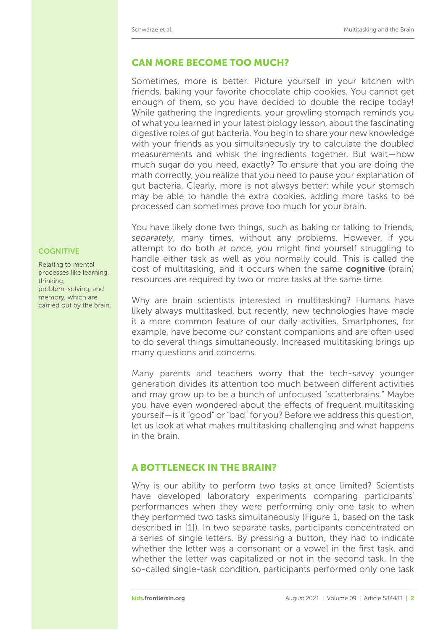# CAN MORE BECOME TOO MUCH?

Sometimes, more is better. Picture yourself in your kitchen with friends, baking your favorite chocolate chip cookies. You cannot get enough of them, so you have decided to double the recipe today! While gathering the ingredients, your growling stomach reminds you of what you learned in your latest biology lesson, about the fascinating digestive roles of gut bacteria. You begin to share your new knowledge with your friends as you simultaneously try to calculate the doubled measurements and whisk the ingredients together. But wait—how much sugar do you need, exactly? To ensure that you are doing the math correctly, you realize that you need to pause your explanation of gut bacteria. Clearly, more is not always better: while your stomach may be able to handle the extra cookies, adding more tasks to be processed can sometimes prove too much for your brain.

You have likely done two things, such as baking or talking to friends, *separately*, many times, without any problems. However, if you attempt to do both *at once*, you might find yourself struggling to handle either task as well as you normally could. This is called the cost of multitasking, and it occurs when the same **cognitive** (brain) resources are required by two or more tasks at the same time.

Why are brain scientists interested in multitasking? Humans have likely always multitasked, but recently, new technologies have made it a more common feature of our daily activities. Smartphones, for example, have become our constant companions and are often used to do several things simultaneously. Increased multitasking brings up many questions and concerns.

Many parents and teachers worry that the tech-savvy younger generation divides its attention too much between different activities and may grow up to be a bunch of unfocused "scatterbrains." Maybe you have even wondered about the effects of frequent multitasking yourself—is it "good" or "bad" for you? Before we address this question, let us look at what makes multitasking challenging and what happens in the brain.

## A BOTTLENECK IN THE BRAIN?

Why is our ability to perform two tasks at once limited? Scientists have developed laboratory experiments comparing participants' performances when they were performing only one task to when they performed two tasks simultaneously [\(Figure 1,](#page-2-0) based on the task described in [\[1\]](#page-6-0)). In two separate tasks, participants concentrated on a series of single letters. By pressing a button, they had to indicate whether the letter was a consonant or a vowel in the first task, and whether the letter was capitalized or not in the second task. In the so-called single-task condition, participants performed only one task

#### **COGNITIVE**

Relating to mental processes like learning, thinking, problem-solving, and memory, which are carried out by the brain.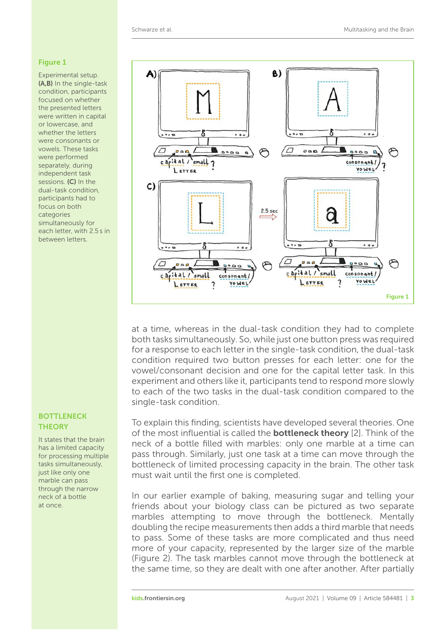#### <span id="page-2-0"></span>Figure 1

Experimental setup. (A,B) In the single-task condition, participants focused on whether the presented letters were written in capital or lowercase, and whether the letters were consonants or vowels. These tasks were performed separately, during independent task sessions. (C) In the dual-task condition, participants had to focus on both categories simultaneously for each letter, with 2.5 s in between letters.

#### **BOTTLENECK THEORY**

It states that the brain has a limited capacity for processing multiple tasks simultaneously, just like only one marble can pass through the narrow neck of a bottle at once.



at a time, whereas in the dual-task condition they had to complete both tasks simultaneously. So, while just one button press was required for a response to each letter in the single-task condition, the dual-task condition required two button presses for each letter: one for the vowel/consonant decision and one for the capital letter task. In this experiment and others like it, participants tend to respond more slowly to each of the two tasks in the dual-task condition compared to the single-task condition.

To explain this finding, scientists have developed several theories. One of the most influential is called the **bottleneck theory** [\[2\]](#page-6-1). Think of the neck of a bottle filled with marbles: only one marble at a time can pass through. Similarly, just one task at a time can move through the bottleneck of limited processing capacity in the brain. The other task must wait until the first one is completed.

In our earlier example of baking, measuring sugar and telling your friends about your biology class can be pictured as two separate marbles attempting to move through the bottleneck. Mentally doubling the recipe measurements then adds a third marble that needs to pass. Some of these tasks are more complicated and thus need more of your capacity, represented by the larger size of the marble [\(Figure 2\)](#page-3-0). The task marbles cannot move through the bottleneck at the same time, so they are dealt with one after another. After partially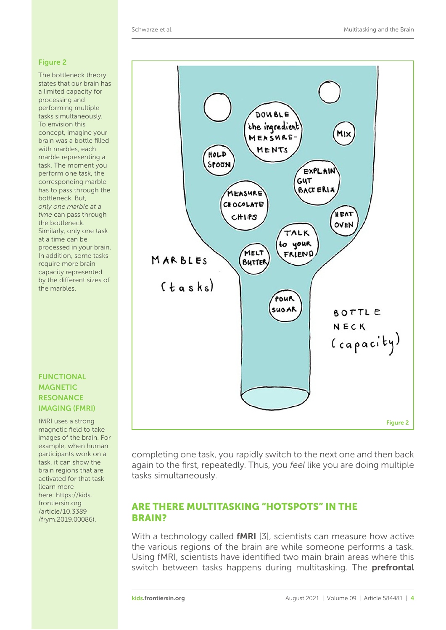#### <span id="page-3-0"></span>Figure 2

The bottleneck theory states that our brain has a limited capacity for processing and performing multiple tasks simultaneously. To envision this concept, imagine your brain was a bottle filled with marbles, each marble representing a task. The moment you perform one task, the corresponding marble has to pass through the bottleneck. But, *only one marble at a time* can pass through the bottleneck. Similarly, only one task at a time can be processed in your brain. In addition, some tasks require more brain capacity represented by the different sizes of the marbles.

## FUNCTIONAL **MAGNETIC RESONANCE** IMAGING (FMRI)

fMRI uses a strong magnetic field to take images of the brain. For example, when human participants work on a task, it can show the brain regions that are activated for that task (learn more here: https://kids. frontiersin.org /article/10.3389 [/frym.2019.00086\)](https://kids.frontiersin.org/article/10.3389/frym.2019.00086).



completing one task, you rapidly switch to the next one and then back again to the first, repeatedly. Thus, you *feel* like you are doing multiple tasks simultaneously.

# ARE THERE MULTITASKING "HOTSPOTS" IN THE BRAIN?

With a technology called **fMRI** [\[3\]](#page-6-2), scientists can measure how active the various regions of the brain are while someone performs a task. Using fMRI, scientists have identified two main brain areas where this switch between tasks happens during multitasking. The **prefrontal**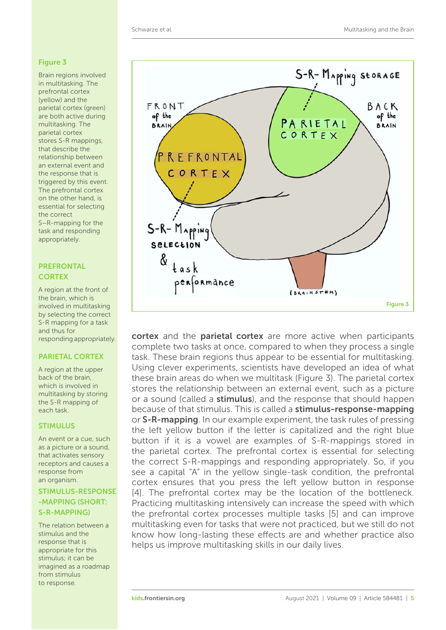#### <span id="page-4-0"></span>Figure 3

Brain regions involved in multitasking. The prefrontal cortex (yellow) and the parietal cortex (green) are both active during multitasking. The parietal cortex stores S-R mappings, that describe the relationship between an external event and the response that is triggered by this event. The prefrontal cortex on the other hand, is essential for selecting the correct S–R-mapping for the task and responding appropriately.

#### PREFRONTAL **CORTEX**

A region at the front of the brain, which is involved in multitasking by selecting the correct S-R mapping for a task and thus for responding appropriately.

## PARIETAL CORTEX

A region at the upper back of the brain, which is involved in multitasking by storing the S-R mapping of each task.

#### **STIMULUS**

An event or a cue, such as a picture or a sound, that activates sensory receptors and causes a response from an organism.

STIMULUS-RESPONSE -MAPPING (SHORT: S-R-MAPPING)

The relation between a stimulus and the response that is appropriate for this stimulus; it can be imagined as a roadmap from stimulus to response.



cortex and the parietal cortex are more active when participants complete two tasks at once, compared to when they process a single task. These brain regions thus appear to be essential for multitasking. Using clever experiments, scientists have developed an idea of what these brain areas do when we multitask [\(Figure 3\)](#page-4-0). The parietal cortex stores the relationship between an external event, such as a picture or a sound (called a **stimulus**), and the response that should happen because of that stimulus. This is called a stimulus-response-mapping or S-R-mapping. In our example experiment, the task rules of pressing the left yellow button if the letter is capitalized and the right blue button if it is a vowel are examples of S-R-mappings stored in the parietal cortex. The prefrontal cortex is essential for selecting the correct S-R-mappings and responding appropriately. So, if you see a capital "A" in the yellow single-task condition, the prefrontal cortex ensures that you press the left yellow button in response [\[4\]](#page-6-3). The prefrontal cortex may be the location of the bottleneck. Practicing multitasking intensively can increase the speed with which the prefrontal cortex processes multiple tasks [\[5\]](#page-6-4) and can improve multitasking even for tasks that were not practiced, but we still do not know how long-lasting these effects are and whether practice also helps us improve multitasking skills in our daily lives.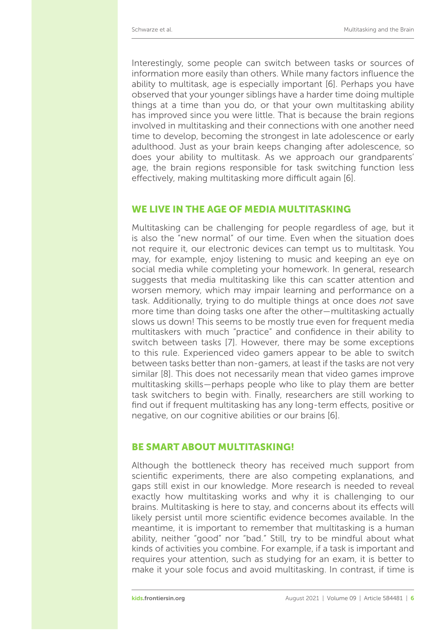Interestingly, some people can switch between tasks or sources of information more easily than others. While many factors influence the ability to multitask, age is especially important [\[6\]](#page-6-5). Perhaps you have observed that your younger siblings have a harder time doing multiple things at a time than you do, or that your own multitasking ability has improved since you were little. That is because the brain regions involved in multitasking and their connections with one another need time to develop, becoming the strongest in late adolescence or early adulthood. Just as your brain keeps changing after adolescence, so does your ability to multitask. As we approach our grandparents' age, the brain regions responsible for task switching function less effectively, making multitasking more difficult again [\[6\]](#page-6-5).

## WE LIVE IN THE AGE OF MEDIA MULTITASKING

Multitasking can be challenging for people regardless of age, but it is also the "new normal" of our time. Even when the situation does not require it, our electronic devices can tempt us to multitask. You may, for example, enjoy listening to music and keeping an eye on social media while completing your homework. In general, research suggests that media multitasking like this can scatter attention and worsen memory, which may impair learning and performance on a task. Additionally, trying to do multiple things at once does *not* save more time than doing tasks one after the other—multitasking actually slows us down! This seems to be mostly true even for frequent media multitaskers with much "practice" and confidence in their ability to switch between tasks [\[7\]](#page-6-6). However, there may be some exceptions to this rule. Experienced video gamers appear to be able to switch between tasks better than non-gamers, at least if the tasks are not very similar [\[8\]](#page-6-7). This does not necessarily mean that video games improve multitasking skills—perhaps people who like to play them are better task switchers to begin with. Finally, researchers are still working to find out if frequent multitasking has any long-term effects, positive or negative, on our cognitive abilities or our brains [\[6\]](#page-6-5).

#### BE SMART ABOUT MULTITASKING!

Although the bottleneck theory has received much support from scientific experiments, there are also competing explanations, and gaps still exist in our knowledge. More research is needed to reveal exactly how multitasking works and why it is challenging to our brains. Multitasking is here to stay, and concerns about its effects will likely persist until more scientific evidence becomes available. In the meantime, it is important to remember that multitasking is a human ability, neither "good" nor "bad." Still, try to be mindful about what kinds of activities you combine. For example, if a task is important and requires your attention, such as studying for an exam, it is better to make it your sole focus and avoid multitasking. In contrast, if time is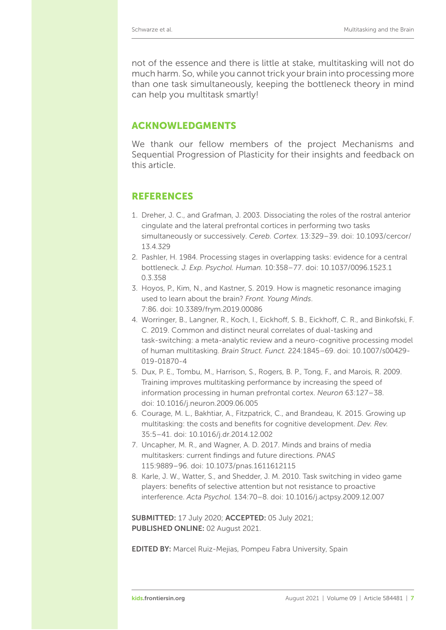not of the essence and there is little at stake, multitasking will not do much harm. So, while you cannot trick your brain into processing more than one task simultaneously, keeping the bottleneck theory in mind can help you multitask smartly!

## ACKNOWLEDGMENTS

We thank our fellow members of the project Mechanisms and Sequential Progression of Plasticity for their insights and feedback on this article.

# REFERENCES

- <span id="page-6-0"></span>1. Dreher, J. C., and Grafman, J. 2003. Dissociating the roles of the rostral anterior cingulate and the lateral prefrontal cortices in performing two tasks simultaneously or successively. *Cereb. Cortex.* [13:329–39. doi: 10.1093/cercor/](https://doi.org/10.1093/cercor/13.4.329) 13.4.329
- <span id="page-6-1"></span>2. Pashler, H. 1984. Processing stages in overlapping tasks: evidence for a central bottleneck. *J. Exp. Psychol. Human.* [10:358–77. doi: 10.1037/0096.1523.1](https://doi.org/10.1037/0096.1523.10.3.358) 0.3.358
- <span id="page-6-2"></span>3. Hoyos, P., Kim, N., and Kastner, S. 2019. How is magnetic resonance imaging used to learn about the brain? *Front. Young Minds*. 7:86. doi: [10.3389/frym.2019.00086](https://doi.org/10.3389/frym.2019.00086)
- <span id="page-6-3"></span>4. Worringer, B., Langner, R., Koch, I., Eickhoff, S. B., Eickhoff, C. R., and Binkofski, F. C. 2019. Common and distinct neural correlates of dual-tasking and task-switching: a meta-analytic review and a neuro-cognitive processing model of human multitasking. *Brain Struct. Funct.* [224:1845–69. doi: 10.1007/s00429-](https://doi.org/10.1007/s00429-019-01870-4) 019-01870-4
- <span id="page-6-4"></span>5. Dux, P. E., Tombu, M., Harrison, S., Rogers, B. P., Tong, F., and Marois, R. 2009. Training improves multitasking performance by increasing the speed of information processing in human prefrontal cortex. *Neuron* 63:127–38. doi: [10.1016/j.neuron.2009.06.005](https://doi.org/10.1016/j.neuron.2009.06.005)
- <span id="page-6-5"></span>6. Courage, M. L., Bakhtiar, A., Fitzpatrick, C., and Brandeau, K. 2015. Growing up multitasking: the costs and benefits for cognitive development. *Dev. Rev.* 35:5–41. doi: [10.1016/j.dr.2014.12.002](https://doi.org/10.1016/j.dr.2014.12.002)
- <span id="page-6-6"></span>7. Uncapher, M. R., and Wagner, A. D. 2017. Minds and brains of media multitaskers: current findings and future directions. *PNAS* 115:9889–96. doi: [10.1073/pnas.1611612115](https://doi.org/10.1073/pnas.1611612115)
- <span id="page-6-7"></span>8. Karle, J. W., Watter, S., and Shedder, J. M. 2010. Task switching in video game players: benefits of selective attention but not resistance to proactive interference. *Acta Psychol.* 134:70–8. doi: [10.1016/j.actpsy.2009.12.007](https://doi.org/10.1016/j.actpsy.2009.12.007)

SUBMITTED: 17 July 2020; ACCEPTED: 05 July 2021; PUBLISHED ONLINE: 02 August 2021.

EDITED BY: [Marcel Ruiz-Mejias,](https://loop.frontiersin.org/people/176619) Pompeu Fabra University, Spain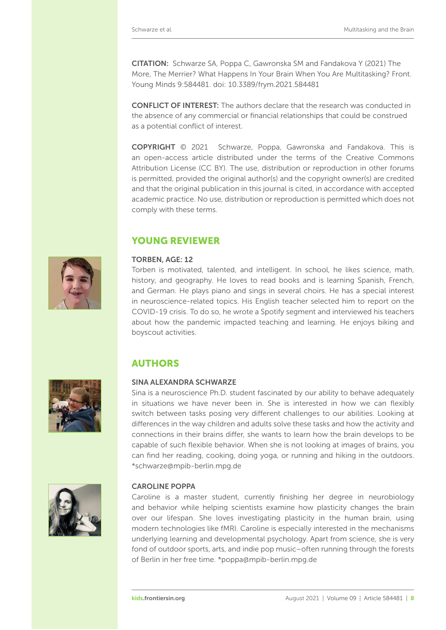CITATION: Schwarze SA, Poppa C, Gawronska SM and Fandakova Y (2021) The More, The Merrier? What Happens In Your Brain When You Are Multitasking? Front. Young Minds 9:584481. doi: [10.3389/frym.2021.584481](https://doi.org/10.3389/frym.2021.584481)

CONFLICT OF INTEREST: The authors declare that the research was conducted in the absence of any commercial or financial relationships that could be construed as a potential conflict of interest.

COPYRIGHT © 2021 Schwarze, Poppa, Gawronska and Fandakova. This is an open-access article distributed under the terms of the Creative Commons [Attribution License \(CC BY\). The use, distribution or reproduction in other forums](https://creativecommons.org/licenses/by/4.0/) is permitted, provided the original author(s) and the copyright owner(s) are credited and that the original publication in this journal is cited, in accordance with accepted academic practice. No use, distribution or reproduction is permitted which does not comply with these terms.

# YOUNG REVIEWER

#### TORBEN, AGE: 12

Torben is motivated, talented, and intelligent. In school, he likes science, math, history, and geography. He loves to read books and is learning Spanish, French, and German. He plays piano and sings in several choirs. He has a special interest in neuroscience-related topics. His English teacher selected him to report on the COVID-19 crisis. To do so, he wrote a Spotify segment and interviewed his teachers about how the pandemic impacted teaching and learning. He enjoys biking and boyscout activities.

# AUTHORS

#### SINA ALEXANDRA SCHWARZE

Sina is a neuroscience Ph.D. student fascinated by our ability to behave adequately in situations we have never been in. She is interested in how we can flexibly switch between tasks posing very different challenges to our abilities. Looking at differences in the way children and adults solve these tasks and how the activity and connections in their brains differ, she wants to learn how the brain develops to be capable of such flexible behavior. When she is not looking at images of brains, you can find her reading, cooking, doing yoga, or running and hiking in the outdoors. [\\*schwarze@mpib-berlin.mpg.de](mailto:schwarze@mpib-berlin.mpg.de)



#### CAROLINE POPPA

Caroline is a master student, currently finishing her degree in neurobiology and behavior while helping scientists examine how plasticity changes the brain over our lifespan. She loves investigating plasticity in the human brain, using modern technologies like fMRI. Caroline is especially interested in the mechanisms underlying learning and developmental psychology. Apart from science, she is very fond of outdoor sports, arts, and indie pop music–often running through the forests of Berlin in her free time. [\\*poppa@mpib-berlin.mpg.de](mailto:poppa@mpib-berlin.mpg.de)